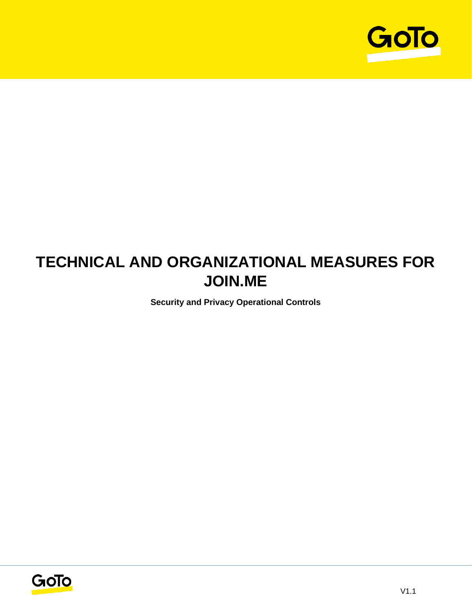

# **TECHNICAL AND ORGANIZATIONAL MEASURES FOR JOIN.ME**

**Security and Privacy Operational Controls**

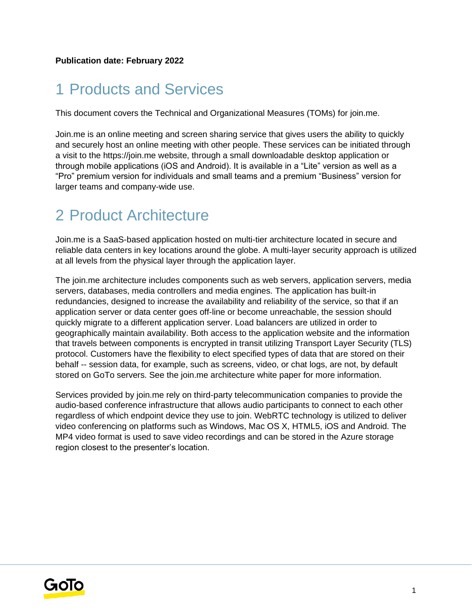# 1 Products and Services

This document covers the Technical and Organizational Measures (TOMs) for join.me.

Join.me is an online meeting and screen sharing service that gives users the ability to quickly and securely host an online meeting with other people. These services can be initiated through a visit to the https://join.me website, through a small downloadable desktop application or through mobile applications (iOS and Android). It is available in a "Lite" version as well as a "Pro" premium version for individuals and small teams and a premium "Business" version for larger teams and company-wide use.

## 2 Product Architecture

Join.me is a SaaS-based application hosted on multi-tier architecture located in secure and reliable data centers in key locations around the globe. A multi-layer security approach is utilized at all levels from the physical layer through the application layer.

The join.me architecture includes components such as web servers, application servers, media servers, databases, media controllers and media engines. The application has built-in redundancies, designed to increase the availability and reliability of the service, so that if an application server or data center goes off-line or become unreachable, the session should quickly migrate to a different application server. Load balancers are utilized in order to geographically maintain availability. Both access to the application website and the information that travels between components is encrypted in transit utilizing Transport Layer Security (TLS) protocol. Customers have the flexibility to elect specified types of data that are stored on their behalf -- session data, for example, such as screens, video, or chat logs, are not, by default stored on GoTo servers. See the join.me architecture white paper for more information.

Services provided by join.me rely on third-party telecommunication companies to provide the audio-based conference infrastructure that allows audio participants to connect to each other regardless of which endpoint device they use to join. WebRTC technology is utilized to deliver video conferencing on platforms such as Windows, Mac OS X, HTML5, iOS and Android. The MP4 video format is used to save video recordings and can be stored in the Azure storage region closest to the presenter's location.

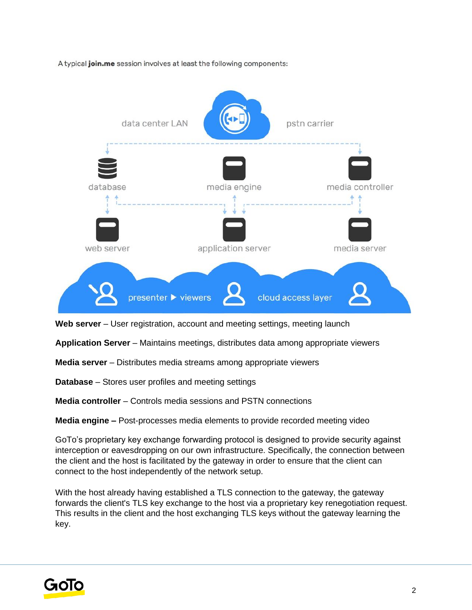A typical join.me session involves at least the following components:



Web server – User registration, account and meeting settings, meeting launch

**Application Server** – Maintains meetings, distributes data among appropriate viewers

**Media server** – Distributes media streams among appropriate viewers

**Database** – Stores user profiles and meeting settings

**Media controller** – Controls media sessions and PSTN connections

**Media engine –** Post-processes media elements to provide recorded meeting video

GoTo's proprietary key exchange forwarding protocol is designed to provide security against interception or eavesdropping on our own infrastructure. Specifically, the connection between the client and the host is facilitated by the gateway in order to ensure that the client can connect to the host independently of the network setup.

With the host already having established a TLS connection to the gateway, the gateway forwards the client's TLS key exchange to the host via a proprietary key renegotiation request. This results in the client and the host exchanging TLS keys without the gateway learning the key.

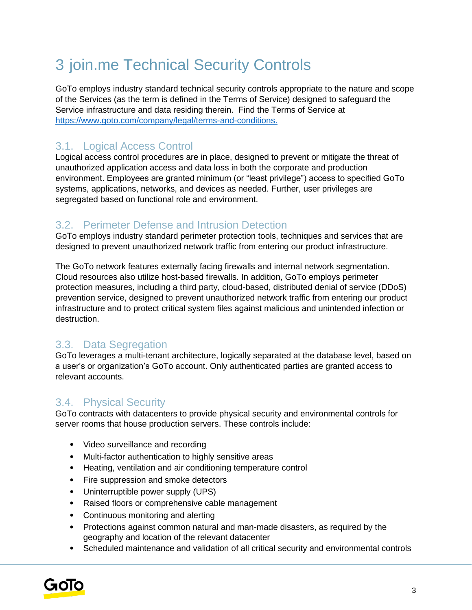# 3 join.me Technical Security Controls

GoTo employs industry standard technical security controls appropriate to the nature and scope of the Services (as the term is defined in the Terms of Service) designed to safeguard the Service infrastructure and data residing therein. Find the Terms of Service a[t](http://www.logmein.com/legal/terms-and-conditions) [https://www.goto.com/company/legal/terms-and-conditions.](https://www.goto.com/company/legal/terms-and-conditions)

## 3.1. Logical Access Control

Logical access control procedures are in place, designed to prevent or mitigate the threat of unauthorized application access and data loss in both the corporate and production environment. Employees are granted minimum (or "least privilege") access to specified GoTo systems, applications, networks, and devices as needed. Further, user privileges are segregated based on functional role and environment.

### 3.2. Perimeter Defense and Intrusion Detection

GoTo employs industry standard perimeter protection tools, techniques and services that are designed to prevent unauthorized network traffic from entering our product infrastructure.

The GoTo network features externally facing firewalls and internal network segmentation. Cloud resources also utilize host-based firewalls. In addition, GoTo employs perimeter protection measures, including a third party, cloud-based, distributed denial of service (DDoS) prevention service, designed to prevent unauthorized network traffic from entering our product infrastructure and to protect critical system files against malicious and unintended infection or destruction.

### 3.3. Data Segregation

GoTo leverages a multi-tenant architecture, logically separated at the database level, based on a user's or organization's GoTo account. Only authenticated parties are granted access to relevant accounts.

### 3.4. Physical Security

GoTo contracts with datacenters to provide physical security and environmental controls for server rooms that house production servers. These controls include:

- Video surveillance and recording
- Multi-factor authentication to highly sensitive areas
- Heating, ventilation and air conditioning temperature control
- Fire suppression and smoke detectors
- Uninterruptible power supply (UPS)
- Raised floors or comprehensive cable management
- Continuous monitoring and alerting
- Protections against common natural and man-made disasters, as required by the geography and location of the relevant datacenter
- Scheduled maintenance and validation of all critical security and environmental controls

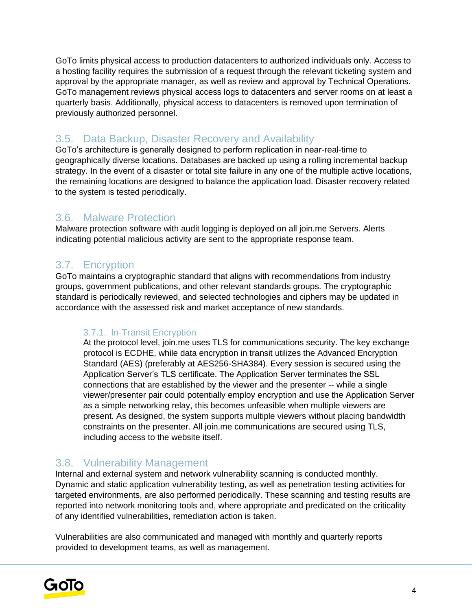GoTo limits physical access to production datacenters to authorized individuals only. Access to a hosting facility requires the submission of a request through the relevant ticketing system and approval by the appropriate manager, as well as review and approval by Technical Operations. GoTo management reviews physical access logs to datacenters and server rooms on at least a quarterly basis. Additionally, physical access to datacenters is removed upon termination of previously authorized personnel.

### 3.5. Data Backup, Disaster Recovery and Availability

GoTo's architecture is generally designed to perform replication in near-real-time to geographically diverse locations. Databases are backed up using a rolling incremental backup strategy. In the event of a disaster or total site failure in any one of the multiple active locations, the remaining locations are designed to balance the application load. Disaster recovery related to the system is tested periodically.

#### 3.6. Malware Protection

Malware protection software with audit logging is deployed on all join.me Servers. Alerts indicating potential malicious activity are sent to the appropriate response team.

#### 3.7. Encryption

GoTo maintains a cryptographic standard that aligns with recommendations from industry groups, government publications, and other relevant standards groups. The cryptographic standard is periodically reviewed, and selected technologies and ciphers may be updated in accordance with the assessed risk and market acceptance of new standards.

#### 3.7.1. In-Transit Encryption

At the protocol level, join.me uses TLS for communications security. The key exchange protocol is ECDHE, while data encryption in transit utilizes the Advanced Encryption Standard (AES) (preferably at AES256-SHA384). Every session is secured using the Application Server's TLS certificate. The Application Server terminates the SSL connections that are established by the viewer and the presenter -- while a single viewer/presenter pair could potentially employ encryption and use the Application Server as a simple networking relay, this becomes unfeasible when multiple viewers are present. As designed, the system supports multiple viewers without placing bandwidth constraints on the presenter. All join.me communications are secured using TLS, including access to the website itself.

#### 3.8. Vulnerability Management

Internal and external system and network vulnerability scanning is conducted monthly. Dynamic and static application vulnerability testing, as well as penetration testing activities for targeted environments, are also performed periodically. These scanning and testing results are reported into network monitoring tools and, where appropriate and predicated on the criticality of any identified vulnerabilities, remediation action is taken.

Vulnerabilities are also communicated and managed with monthly and quarterly reports provided to development teams, as well as management.

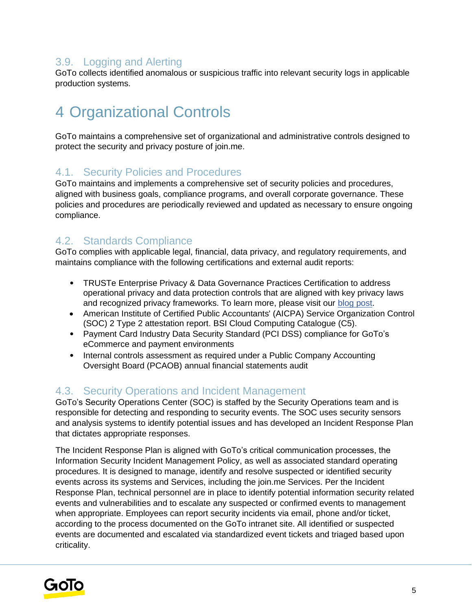### 3.9. Logging and Alerting

GoTo collects identified anomalous or suspicious traffic into relevant security logs in applicable production systems.

# 4 Organizational Controls

GoTo maintains a comprehensive set of organizational and administrative controls designed to protect the security and privacy posture of join.me.

#### 4.1. Security Policies and Procedures

GoTo maintains and implements a comprehensive set of security policies and procedures, aligned with business goals, compliance programs, and overall corporate governance. These policies and procedures are periodically reviewed and updated as necessary to ensure ongoing compliance.

### 4.2. Standards Compliance

GoTo complies with applicable legal, financial, data privacy, and regulatory requirements, and maintains compliance with the following certifications and external audit reports:

- TRUSTe Enterprise Privacy & Data Governance Practices Certification to address operational privacy and data protection controls that are aligned with key privacy laws and recognized privacy frameworks. To learn more, please visit ou[r](https://blog.logmeininc.com/logmein-furthers-commitment-to-data-privacy-with-truste-enterprise-privacy-certification-seal/?lang=en) [blog post](https://www.goto.com/blog/logmein-furthers-commitment-to-data-privacy-with-truste-enterprise-privacy-certification-seal)[.](https://blog.logmeininc.com/logmein-furthers-commitment-to-data-privacy-with-truste-enterprise-privacy-certification-seal/?lang=en)
- American Institute of Certified Public Accountants' (AICPA) Service Organization Control (SOC) 2 Type 2 attestation report. BSI Cloud Computing Catalogue (C5).
- Payment Card Industry Data Security Standard (PCI DSS) compliance for GoTo's eCommerce and payment environments
- Internal controls assessment as required under a Public Company Accounting Oversight Board (PCAOB) annual financial statements audit

### 4.3. Security Operations and Incident Management

GoTo's Security Operations Center (SOC) is staffed by the Security Operations team and is responsible for detecting and responding to security events. The SOC uses security sensors and analysis systems to identify potential issues and has developed an Incident Response Plan that dictates appropriate responses.

The Incident Response Plan is aligned with GoTo's critical communication processes, the Information Security Incident Management Policy, as well as associated standard operating procedures. It is designed to manage, identify and resolve suspected or identified security events across its systems and Services, including the join.me Services. Per the Incident Response Plan, technical personnel are in place to identify potential information security related events and vulnerabilities and to escalate any suspected or confirmed events to management when appropriate. Employees can report security incidents via email, phone and/or ticket, according to the process documented on the GoTo intranet site. All identified or suspected events are documented and escalated via standardized event tickets and triaged based upon criticality.

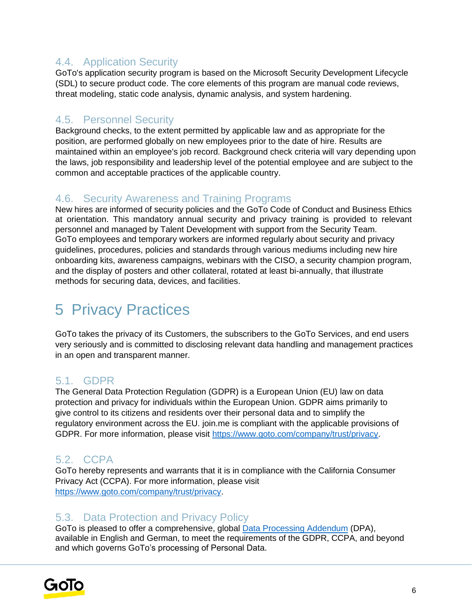### 4.4. Application Security

GoTo's application security program is based on the Microsoft Security Development Lifecycle (SDL) to secure product code. The core elements of this program are manual code reviews, threat modeling, static code analysis, dynamic analysis, and system hardening.

#### 4.5. Personnel Security

Background checks, to the extent permitted by applicable law and as appropriate for the position, are performed globally on new employees prior to the date of hire. Results are maintained within an employee's job record. Background check criteria will vary depending upon the laws, job responsibility and leadership level of the potential employee and are subject to the common and acceptable practices of the applicable country.

#### 4.6. Security Awareness and Training Programs

New hires are informed of security policies and the GoTo Code of Conduct and Business Ethics at orientation. This mandatory annual security and privacy training is provided to relevant personnel and managed by Talent Development with support from the Security Team. GoTo employees and temporary workers are informed regularly about security and privacy guidelines, procedures, policies and standards through various mediums including new hire onboarding kits, awareness campaigns, webinars with the CISO, a security champion program, and the display of posters and other collateral, rotated at least bi-annually, that illustrate methods for securing data, devices, and facilities.

# 5 Privacy Practices

GoTo takes the privacy of its Customers, the subscribers to the GoTo Services, and end users very seriously and is committed to disclosing relevant data handling and management practices in an open and transparent manner.

### 5.1. GDPR

The General Data Protection Regulation (GDPR) is a European Union (EU) law on data protection and privacy for individuals within the European Union. GDPR aims primarily to give control to its citizens and residents over their personal data and to simplify the regulatory environment across the EU. join.me is compliant with the applicable provisions of GDPR. For more information, please visit [https://www.goto.com/company/trust/privacy.](https://www.goto.com/company/trust/privacy)

### 5.2. CCPA

GoTo hereby represents and warrants that it is in compliance with the California Consumer Privacy Act (CCPA). For more information, please visit [https://www.goto.com/company/trust/privacy.](https://www.goto.com/company/trust/privacy)

### 5.3. Data Protection and Privacy Policy

GoTo is pleased to offer a comprehensive, global [Data Processing Addendum](https://www.goto.com/company/legal) (DPA), available in [English](https://www.docusign.net/Member/PowerFormSigning.aspx?PowerFormId=87db4c61-3929-4ccb-ab58-b202e064c4a1) [a](https://www.docusign.net/Member/PowerFormSigning.aspx?PowerFormId=87db4c61-3929-4ccb-ab58-b202e064c4a1)nd [German,](https://www.docusign.net/Member/PowerFormSigning.aspx?PowerFormId=29541afa-3cf0-4d7c-90f8-e971a0866b8e&env=na1) to meet the requirements of the GDPR, CCPA, and beyond and which governs GoTo's processing of Personal Data.

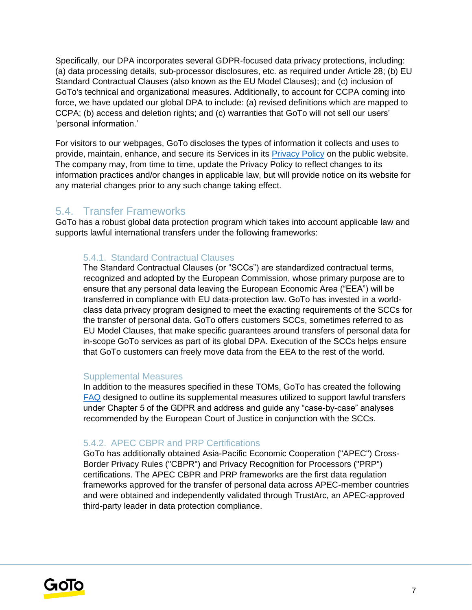Specifically, our DPA incorporates several GDPR-focused data privacy protections, including: (a) data processing details, sub-processor disclosures, etc. as required under Article 28; (b) EU Standard Contractual Clauses (also known as the EU Model Clauses); and (c) inclusion of GoTo's technical and organizational measures. Additionally, to account for CCPA coming into force, we have updated our global DPA to include: (a) revised definitions which are mapped to CCPA; (b) access and deletion rights; and (c) warranties that GoTo will not sell our users' 'personal information.'

For visitors to our webpages, GoTo discloses the types of information it collects and uses to provide, maintain, enhance, and secure its Services in its [Privacy Policy](https://www.goto.com/company/legal/privacy) on the public website. The company may, from time to time, update the Privacy Policy to reflect changes to its information practices and/or changes in applicable law, but will provide notice on its website for any material changes prior to any such change taking effect.

#### 5.4. Transfer Frameworks

GoTo has a robust global data protection program which takes into account applicable law and supports lawful international transfers under the following frameworks:

#### 5.4.1. Standard Contractual Clauses

The Standard Contractual Clauses (or "SCCs") are standardized contractual terms, recognized and adopted by the European Commission, whose primary purpose are to ensure that any personal data leaving the European Economic Area ("EEA") will be transferred in compliance with EU data-protection law. GoTo has invested in a worldclass data privacy program designed to meet the exacting requirements of the SCCs for the transfer of personal data. GoTo offers customers SCCs, sometimes referred to as EU Model Clauses, that make specific guarantees around transfers of personal data for in-scope GoTo services as part of its global DPA. Execution of the SCCs helps ensure that GoTo customers can freely move data from the EEA to the rest of the world.

#### Supplemental Measures

In addition to the measures specified in these TOMs, GoTo has created the following **[FAQ](https://logmeincdn.azureedge.net/legal/international-data-transfers-faq.pdf)** designed to outline its supplemental measures utilized to support lawful transfers under Chapter 5 of the GDPR and address and guide any "case-by-case" analyses recommended by the European Court of Justice in conjunction with the SCCs.

#### 5.4.2. APEC CBPR and PRP Certifications

GoTo has additionally obtained Asia-Pacific Economic Cooperation ("APEC") Cross-Border Privacy Rules ("CBPR") and Privacy Recognition for Processors ("PRP") certifications. The APEC CBPR and PRP frameworks are the first data regulation frameworks approved for the transfer of personal data across APEC-member countries and were obtained and independently validated through TrustArc, an APEC-approved third-party leader in data protection compliance.

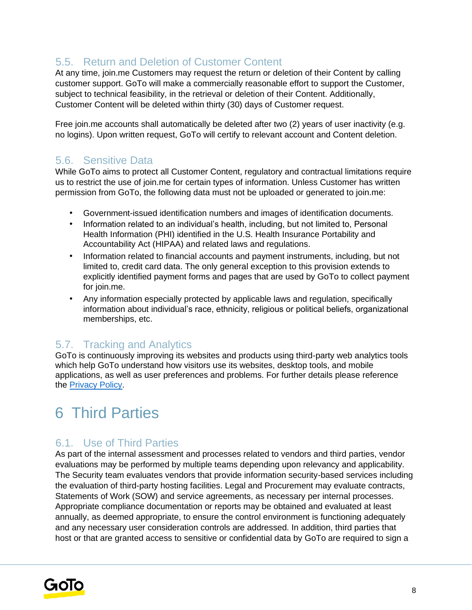## 5.5. Return and Deletion of Customer Content

At any time, join.me Customers may request the return or deletion of their Content by calling customer support. GoTo will make a commercially reasonable effort to support the Customer, subject to technical feasibility, in the retrieval or deletion of their Content. Additionally, Customer Content will be deleted within thirty (30) days of Customer request.

Free join.me accounts shall automatically be deleted after two (2) years of user inactivity (e.g. no logins). Upon written request, GoTo will certify to relevant account and Content deletion.

#### 5.6. Sensitive Data

While GoTo aims to protect all Customer Content, regulatory and contractual limitations require us to restrict the use of join.me for certain types of information. Unless Customer has written permission from GoTo, the following data must not be uploaded or generated to join.me:

- Government-issued identification numbers and images of identification documents.
- Information related to an individual's health, including, but not limited to, Personal Health Information (PHI) identified in the U.S. Health Insurance Portability and Accountability Act (HIPAA) and related laws and regulations.
- Information related to financial accounts and payment instruments, including, but not limited to, credit card data. The only general exception to this provision extends to explicitly identified payment forms and pages that are used by GoTo to collect payment for join.me.
- Any information especially protected by applicable laws and regulation, specifically information about individual's race, ethnicity, religious or political beliefs, organizational memberships, etc.

#### 5.7. Tracking and Analytics

GoTo is continuously improving its websites and products using third-party web analytics tools which help GoTo understand how visitors use its websites, desktop tools, and mobile applications, as well as user preferences and problems. For further details please reference the [Privacy Policy](https://www.goto.com/company/legal/privacy)[.](https://www.logmein.com/legal/privacy)

# 6 Third Parties

## 6.1. Use of Third Parties

As part of the internal assessment and processes related to vendors and third parties, vendor evaluations may be performed by multiple teams depending upon relevancy and applicability. The Security team evaluates vendors that provide information security-based services including the evaluation of third-party hosting facilities. Legal and Procurement may evaluate contracts, Statements of Work (SOW) and service agreements, as necessary per internal processes. Appropriate compliance documentation or reports may be obtained and evaluated at least annually, as deemed appropriate, to ensure the control environment is functioning adequately and any necessary user consideration controls are addressed. In addition, third parties that host or that are granted access to sensitive or confidential data by GoTo are required to sign a